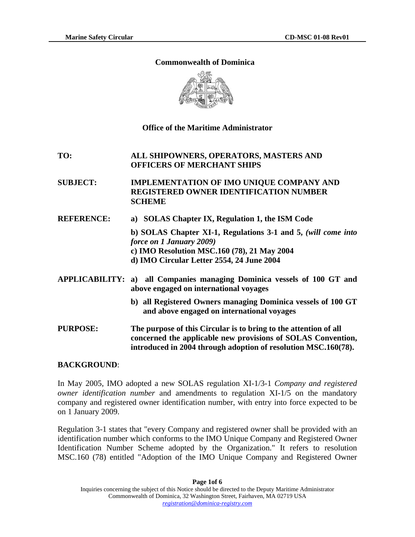### **Commonwealth of Dominica**



## **Office of the Maritime Administrator**

## **TO: ALL SHIPOWNERS, OPERATORS, MASTERS AND OFFICERS OF MERCHANT SHIPS**

## **SUBJECT: IMPLEMENTATION OF IMO UNIQUE COMPANY AND REGISTERED OWNER IDENTIFICATION NUMBER SCHEME**

**REFERENCE: a) SOLAS Chapter IX, Regulation 1, the ISM Code** 

**b) SOLAS Chapter XI-1, Regulations 3-1 and 5,** *(will come into force on 1 January 2009)*  **c) IMO Resolution MSC.160 (78), 21 May 2004 d) IMO Circular Letter 2554, 24 June 2004** 

- **APPLICABILITY: a) all Companies managing Dominica vessels of 100 GT and above engaged on international voyages**
	- **b) all Registered Owners managing Dominica vessels of 100 GT and above engaged on international voyages**
- **PURPOSE: The purpose of this Circular is to bring to the attention of all concerned the applicable new provisions of SOLAS Convention, introduced in 2004 through adoption of resolution MSC.160(78).**

### **BACKGROUND**:

In May 2005, IMO adopted a new SOLAS regulation XI-1/3-1 *Company and registered owner identification number* and amendments to regulation XI-1/5 on the mandatory company and registered owner identification number, with entry into force expected to be on 1 January 2009.

Regulation 3-1 states that "every Company and registered owner shall be provided with an identification number which conforms to the IMO Unique Company and Registered Owner Identification Number Scheme adopted by the Organization." It refers to resolution MSC.160 (78) entitled "Adoption of the IMO Unique Company and Registered Owner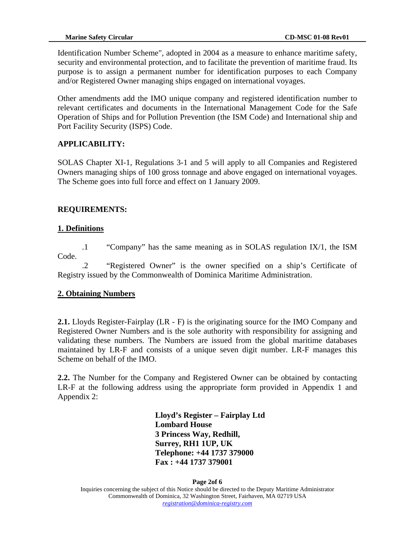Identification Number Scheme", adopted in 2004 as a measure to enhance maritime safety, security and environmental protection, and to facilitate the prevention of maritime fraud. Its purpose is to assign a permanent number for identification purposes to each Company and/or Registered Owner managing ships engaged on international voyages.

Other amendments add the IMO unique company and registered identification number to relevant certificates and documents in the International Management Code for the Safe Operation of Ships and for Pollution Prevention (the ISM Code) and International ship and Port Facility Security (ISPS) Code.

# **APPLICABILITY:**

SOLAS Chapter XI-1, Regulations 3-1 and 5 will apply to all Companies and Registered Owners managing ships of 100 gross tonnage and above engaged on international voyages. The Scheme goes into full force and effect on 1 January 2009.

# **REQUIREMENTS:**

# **1. Definitions**

.1 "Company" has the same meaning as in SOLAS regulation IX/1, the ISM Code.

.2 "Registered Owner" is the owner specified on a ship's Certificate of Registry issued by the Commonwealth of Dominica Maritime Administration.

# **2. Obtaining Numbers**

**2.1.** Lloyds Register-Fairplay (LR - F) is the originating source for the IMO Company and Registered Owner Numbers and is the sole authority with responsibility for assigning and validating these numbers. The Numbers are issued from the global maritime databases maintained by LR-F and consists of a unique seven digit number. LR-F manages this Scheme on behalf of the IMO.

**2.2.** The Number for the Company and Registered Owner can be obtained by contacting LR-F at the following address using the appropriate form provided in Appendix 1 and Appendix 2:

> **Lloyd's Register – Fairplay Ltd Lombard House 3 Princess Way, Redhill, Surrey, RH1 1UP, UK Telephone: +44 1737 379000 Fax : +44 1737 379001**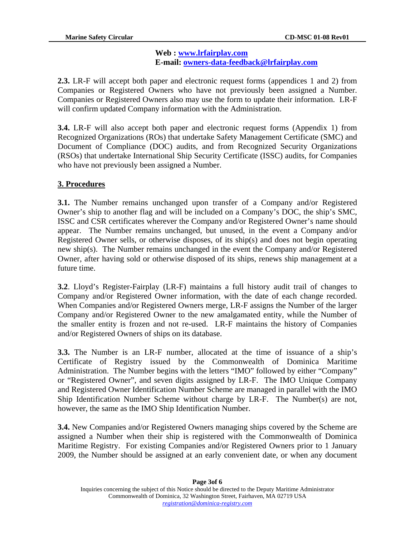### **Web : [www.lrfairplay.com](http://www.lrfairplay.com/) E-mail: [owners-data-feedback@lrfairplay.com](mailto:owners-data-feedback@lrfairplay.com)**

**2.3.** LR-F will accept both paper and electronic request forms (appendices 1 and 2) from Companies or Registered Owners who have not previously been assigned a Number. Companies or Registered Owners also may use the form to update their information. LR-F will confirm updated Company information with the Administration.

**3.4.** LR-F will also accept both paper and electronic request forms (Appendix 1) from Recognized Organizations (ROs) that undertake Safety Management Certificate (SMC) and Document of Compliance (DOC) audits, and from Recognized Security Organizations (RSOs) that undertake International Ship Security Certificate (ISSC) audits, for Companies who have not previously been assigned a Number.

# **3. Procedures**

**3.1.** The Number remains unchanged upon transfer of a Company and/or Registered Owner's ship to another flag and will be included on a Company's DOC, the ship's SMC, ISSC and CSR certificates wherever the Company and/or Registered Owner's name should appear. The Number remains unchanged, but unused, in the event a Company and/or Registered Owner sells, or otherwise disposes, of its ship(s) and does not begin operating new ship(s). The Number remains unchanged in the event the Company and/or Registered Owner, after having sold or otherwise disposed of its ships, renews ship management at a future time.

**3.2**. Lloyd's Register-Fairplay (LR-F) maintains a full history audit trail of changes to Company and/or Registered Owner information, with the date of each change recorded. When Companies and/or Registered Owners merge, LR-F assigns the Number of the larger Company and/or Registered Owner to the new amalgamated entity, while the Number of the smaller entity is frozen and not re-used. LR-F maintains the history of Companies and/or Registered Owners of ships on its database.

**3.3.** The Number is an LR-F number, allocated at the time of issuance of a ship's Certificate of Registry issued by the Commonwealth of Dominica Maritime Administration. The Number begins with the letters "IMO" followed by either "Company" or "Registered Owner", and seven digits assigned by LR-F. The IMO Unique Company and Registered Owner Identification Number Scheme are managed in parallel with the IMO Ship Identification Number Scheme without charge by LR-F. The Number(s) are not, however, the same as the IMO Ship Identification Number.

**3.4.** New Companies and/or Registered Owners managing ships covered by the Scheme are assigned a Number when their ship is registered with the Commonwealth of Dominica Maritime Registry. For existing Companies and/or Registered Owners prior to 1 January 2009, the Number should be assigned at an early convenient date, or when any document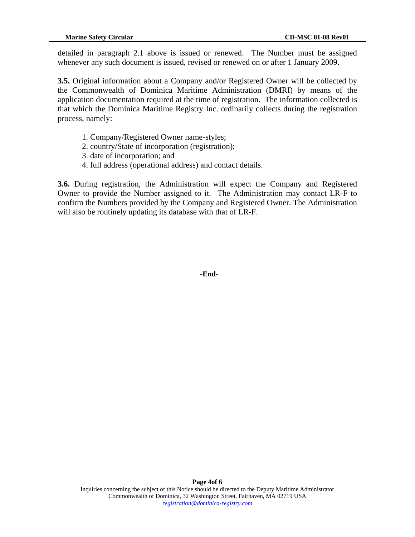detailed in paragraph 2.1 above is issued or renewed. The Number must be assigned whenever any such document is issued, revised or renewed on or after 1 January 2009.

**3.5.** Original information about a Company and/or Registered Owner will be collected by the Commonwealth of Dominica Maritime Administration (DMRI) by means of the application documentation required at the time of registration. The information collected is that which the Dominica Maritime Registry Inc. ordinarily collects during the registration process, namely:

- 1. Company/Registered Owner name-styles;
- 2. country/State of incorporation (registration);
- 3. date of incorporation; and
- 4. full address (operational address) and contact details.

**3.6.** During registration, the Administration will expect the Company and Registered Owner to provide the Number assigned to it. The Administration may contact LR-F to confirm the Numbers provided by the Company and Registered Owner. The Administration will also be routinely updating its database with that of LR-F.

 **-End-**

Ì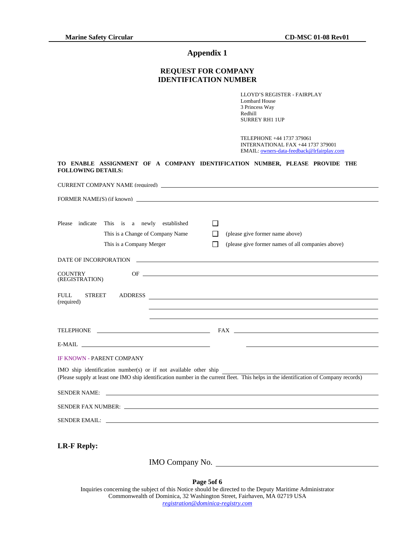## **Appendix 1**

#### **REQUEST FOR COMPANY IDENTIFICATION NUMBER**

LLOYD'S REGISTER - FAIRPLAY Lombard House 3 Princess Way Redhill SURREY RH1 1UP

TELEPHONE +44 1737 379061 INTERNATIONAL FAX +44 1737 379001 EMAIL: [owners-data-feedback@lrfairplay.com](mailto:owners-data-feedback@lrfairplay.com)

| <b>FOLLOWING DETAILS:</b> |                           |  | TO ENABLE ASSIGNMENT OF A COMPANY IDENTIFICATION NUMBER, PLEASE PROVIDE THE |  |  |  |
|---------------------------|---------------------------|--|-----------------------------------------------------------------------------|--|--|--|
|                           |                           |  | CURRENT COMPANY NAME (required)                                             |  |  |  |
|                           | FORMER NAME(S) (if known) |  |                                                                             |  |  |  |

| indicate<br>Please                   | This is a newly established<br>This is a Change of Company Name<br>This is a Company Merger | (please give former name above)<br>(please give former names of all companies above)                                                  |
|--------------------------------------|---------------------------------------------------------------------------------------------|---------------------------------------------------------------------------------------------------------------------------------------|
| DATE OF INCORPORATION                |                                                                                             |                                                                                                                                       |
| <b>COUNTRY</b><br>(REGISTRATION)     |                                                                                             |                                                                                                                                       |
| FULL.<br><b>STREET</b><br>(required) | <b>ADDRESS</b>                                                                              | <u> 1980 - Andrea Andrew Maria (h. 1980).</u>                                                                                         |
|                                      |                                                                                             |                                                                                                                                       |
|                                      |                                                                                             |                                                                                                                                       |
|                                      | $E-MAIL$                                                                                    |                                                                                                                                       |
| <b>IF KNOWN - PARENT COMPANY</b>     |                                                                                             |                                                                                                                                       |
|                                      | IMO ship identification number(s) or if not available other ship                            | (Please supply at least one IMO ship identification number in the current fleet. This helps in the identification of Company records) |
|                                      |                                                                                             |                                                                                                                                       |
|                                      | SENDER FAX NUMBER:                                                                          |                                                                                                                                       |
|                                      |                                                                                             |                                                                                                                                       |
|                                      |                                                                                             |                                                                                                                                       |

**LR-F Reply:** 

IMO Company No.

**Page 5of 6**  Inquiries concerning the subject of this Notice should be directed to the Deputy Maritime Administrator Commonwealth of Dominica, 32 Washington Street, Fairhaven, MA 02719 USA *registration@dominica-registry.com*